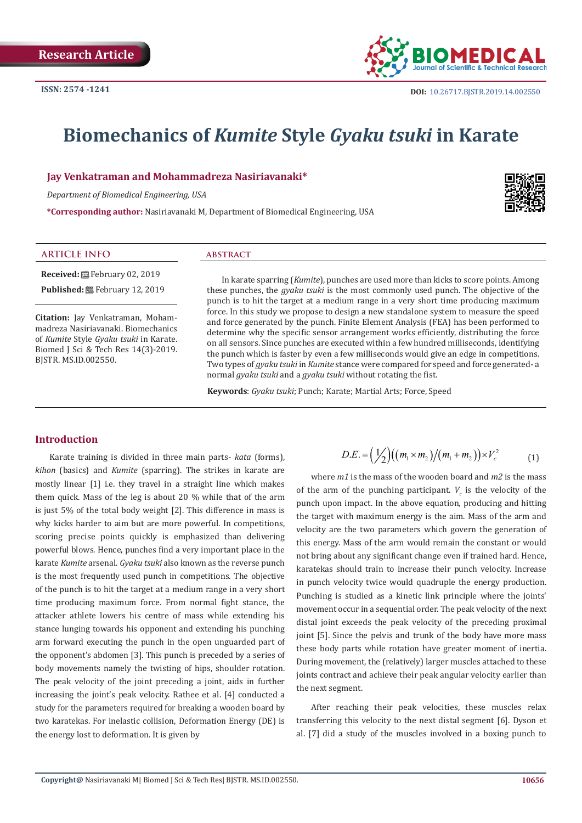

# **Biomechanics of** *Kumite* **Style** *Gyaku tsuki* **in Karate**

**Jay Venkatraman and Mohammadreza Nasiriavanaki\***

*Department of Biomedical Engineering, USA*

**\*Corresponding author:** Nasiriavanaki M, Department of Biomedical Engineering, USA



#### **ARTICLE INFO abstract**

**Received:** February 02, 2019

**Published:** 巴 February 12, 2019

**Citation:** Jay Venkatraman, Mohammadreza Nasiriavanaki. Biomechanics of *Kumite* Style *Gyaku tsuki* in Karate. Biomed J Sci & Tech Res 14(3)-2019. BJSTR. MS.ID.002550.

In karate sparring (*Kumite*), punches are used more than kicks to score points. Among these punches, the *gyaku tsuki* is the most commonly used punch. The objective of the punch is to hit the target at a medium range in a very short time producing maximum force. In this study we propose to design a new standalone system to measure the speed and force generated by the punch. Finite Element Analysis (FEA) has been performed to determine why the specific sensor arrangement works efficiently, distributing the force on all sensors. Since punches are executed within a few hundred milliseconds, identifying the punch which is faster by even a few milliseconds would give an edge in competitions. Two types of *gyaku tsuki* in *Kumite* stance were compared for speed and force generated- a normal *gyaku tsuki* and a *gyaku tsuki* without rotating the fist.

**Keywords**: *Gyaku tsuki*; Punch; Karate; Martial Arts; Force, Speed

### **Introduction**

Karate training is divided in three main parts- *kata* (forms), *kihon* (basics) and *Kumite* (sparring). The strikes in karate are mostly linear [1] i.e. they travel in a straight line which makes them quick. Mass of the leg is about 20 % while that of the arm is just 5% of the total body weight [2]. This difference in mass is why kicks harder to aim but are more powerful. In competitions, scoring precise points quickly is emphasized than delivering powerful blows. Hence, punches find a very important place in the karate *Kumite* arsenal. *Gyaku tsuki* also known as the reverse punch is the most frequently used punch in competitions. The objective of the punch is to hit the target at a medium range in a very short time producing maximum force. From normal fight stance, the attacker athlete lowers his centre of mass while extending his stance lunging towards his opponent and extending his punching arm forward executing the punch in the open unguarded part of the opponent's abdomen [3]. This punch is preceded by a series of body movements namely the twisting of hips, shoulder rotation. The peak velocity of the joint preceding a joint, aids in further increasing the joint's peak velocity. Rathee et al. [4] conducted a study for the parameters required for breaking a wooden board by two karatekas. For inelastic collision, Deformation Energy (DE) is the energy lost to deformation. It is given by

$$
D.E. = \left(\frac{1}{2}\right) \left( \left(m_1 \times m_2\right) / \left(m_1 + m_2\right) \right) \times V_c^2 \tag{1}
$$

 where *m1* is the mass of the wooden board and *m2* is the mass of the arm of the punching participant.  $V_c$  is the velocity of the punch upon impact. In the above equation, producing and hitting the target with maximum energy is the aim. Mass of the arm and velocity are the two parameters which govern the generation of this energy. Mass of the arm would remain the constant or would not bring about any significant change even if trained hard. Hence, karatekas should train to increase their punch velocity. Increase in punch velocity twice would quadruple the energy production. Punching is studied as a kinetic link principle where the joints' movement occur in a sequential order. The peak velocity of the next distal joint exceeds the peak velocity of the preceding proximal joint [5]. Since the pelvis and trunk of the body have more mass these body parts while rotation have greater moment of inertia. During movement, the (relatively) larger muscles attached to these joints contract and achieve their peak angular velocity earlier than the next segment.

After reaching their peak velocities, these muscles relax transferring this velocity to the next distal segment [6]. Dyson et al. [7] did a study of the muscles involved in a boxing punch to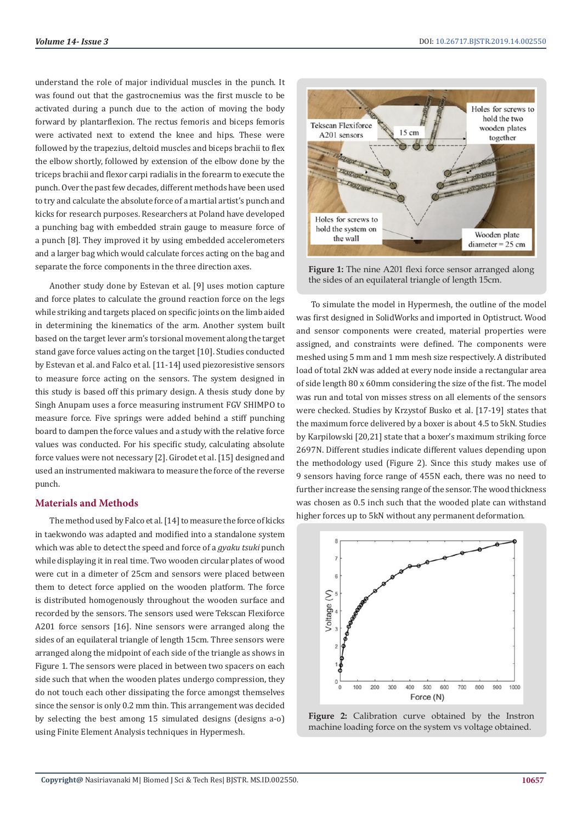understand the role of major individual muscles in the punch. It was found out that the gastrocnemius was the first muscle to be activated during a punch due to the action of moving the body forward by plantarflexion. The rectus femoris and biceps femoris were activated next to extend the knee and hips. These were followed by the trapezius, deltoid muscles and biceps brachii to flex the elbow shortly, followed by extension of the elbow done by the triceps brachii and flexor carpi radialis in the forearm to execute the punch. Over the past few decades, different methods have been used to try and calculate the absolute force of a martial artist's punch and kicks for research purposes. Researchers at Poland have developed a punching bag with embedded strain gauge to measure force of a punch [8]. They improved it by using embedded accelerometers and a larger bag which would calculate forces acting on the bag and separate the force components in the three direction axes.

Another study done by Estevan et al. [9] uses motion capture and force plates to calculate the ground reaction force on the legs while striking and targets placed on specific joints on the limb aided in determining the kinematics of the arm. Another system built based on the target lever arm's torsional movement along the target stand gave force values acting on the target [10]. Studies conducted by Estevan et al. and Falco et al. [11-14] used piezoresistive sensors to measure force acting on the sensors. The system designed in this study is based off this primary design. A thesis study done by Singh Anupam uses a force measuring instrument FGV SHIMPO to measure force. Five springs were added behind a stiff punching board to dampen the force values and a study with the relative force values was conducted. For his specific study, calculating absolute force values were not necessary [2]. Girodet et al. [15] designed and used an instrumented makiwara to measure the force of the reverse punch.

#### **Materials and Methods**

The method used by Falco et al. [14] to measure the force of kicks in taekwondo was adapted and modified into a standalone system which was able to detect the speed and force of a *gyaku tsuki* punch while displaying it in real time. Two wooden circular plates of wood were cut in a dimeter of 25cm and sensors were placed between them to detect force applied on the wooden platform. The force is distributed homogenously throughout the wooden surface and recorded by the sensors. The sensors used were Tekscan Flexiforce A201 force sensors [16]. Nine sensors were arranged along the sides of an equilateral triangle of length 15cm. Three sensors were arranged along the midpoint of each side of the triangle as shows in Figure 1. The sensors were placed in between two spacers on each side such that when the wooden plates undergo compression, they do not touch each other dissipating the force amongst themselves since the sensor is only 0.2 mm thin. This arrangement was decided by selecting the best among 15 simulated designs (designs a-o) using Finite Element Analysis techniques in Hypermesh.



**Figure 1:** The nine A201 flexi force sensor arranged along the sides of an equilateral triangle of length 15cm.

To simulate the model in Hypermesh, the outline of the model was first designed in SolidWorks and imported in Optistruct. Wood and sensor components were created, material properties were assigned, and constraints were defined. The components were meshed using 5 mm and 1 mm mesh size respectively. A distributed load of total 2kN was added at every node inside a rectangular area of side length 80 x 60mm considering the size of the fist. The model was run and total von misses stress on all elements of the sensors were checked. Studies by Krzystof Busko et al. [17-19] states that the maximum force delivered by a boxer is about 4.5 to 5kN. Studies by Karpilowski [20,21] state that a boxer's maximum striking force 2697N. Different studies indicate different values depending upon the methodology used (Figure 2). Since this study makes use of 9 sensors having force range of 455N each, there was no need to further increase the sensing range of the sensor. The wood thickness was chosen as 0.5 inch such that the wooded plate can withstand higher forces up to 5kN without any permanent deformation.



**Figure 2:** Calibration curve obtained by the Instron machine loading force on the system vs voltage obtained.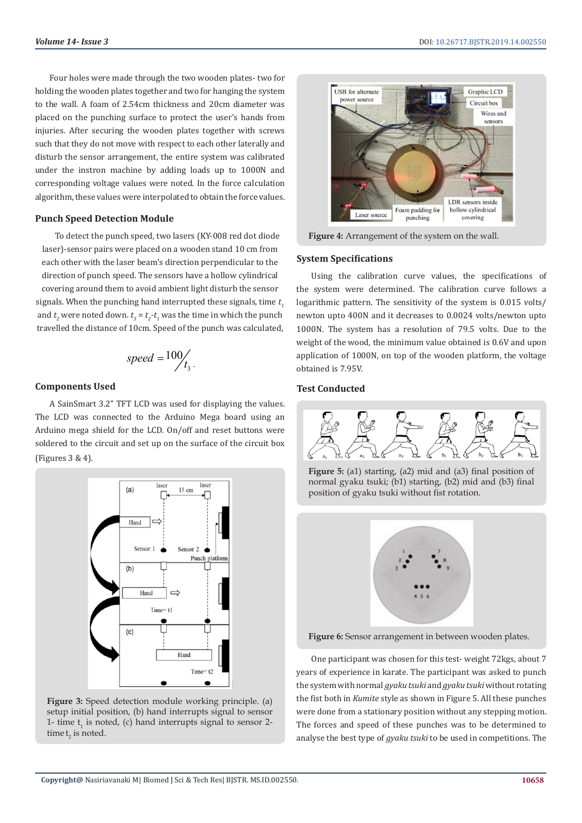Four holes were made through the two wooden plates- two for holding the wooden plates together and two for hanging the system to the wall. A foam of 2.54cm thickness and 20cm diameter was placed on the punching surface to protect the user's hands from injuries. After securing the wooden plates together with screws such that they do not move with respect to each other laterally and disturb the sensor arrangement, the entire system was calibrated under the instron machine by adding loads up to 1000N and corresponding voltage values were noted. In the force calculation algorithm, these values were interpolated to obtain the force values.

#### **Punch Speed Detection Module**

To detect the punch speed, two lasers (KY-008 red dot diode laser)-sensor pairs were placed on a wooden stand 10 cm from each other with the laser beam's direction perpendicular to the direction of punch speed. The sensors have a hollow cylindrical covering around them to avoid ambient light disturb the sensor signals. When the punching hand interrupted these signals, time  $t<sub>i</sub>$ and  $t_2$  were noted down.  $t_3 = t_2$ - $t_1$  was the time in which the punch travelled the distance of 10cm. Speed of the punch was calculated,

$$
speed = \frac{100}{t_3}.
$$

#### **Components Used**

A SainSmart 3.2" TFT LCD was used for displaying the values. The LCD was connected to the Arduino Mega board using an Arduino mega shield for the LCD. On/off and reset buttons were soldered to the circuit and set up on the surface of the circuit box (Figures 3 & 4).



**Figure 3:** Speed detection module working principle. (a) setup initial position, (b) hand interrupts signal to sensor 1- time  $t_1$  is noted, (c) hand interrupts signal to sensor 2time  $t_2$  is noted.



**Figure 4:** Arrangement of the system on the wall.

#### **System Specifications**

Using the calibration curve values, the specifications of the system were determined. The calibration curve follows a logarithmic pattern. The sensitivity of the system is 0.015 volts/ newton upto 400N and it decreases to 0.0024 volts/newton upto 1000N. The system has a resolution of 79.5 volts. Due to the weight of the wood, the minimum value obtained is 0.6V and upon application of 1000N, on top of the wooden platform, the voltage obtained is 7.95V.

#### **Test Conducted**



**Figure 5:** (a1) starting, (a2) mid and (a3) final position of normal gyaku tsuki; (b1) starting, (b2) mid and (b3) final position of gyaku tsuki without fist rotation.



Figure 6: Sensor arrangement in between wooden plates.

One participant was chosen for this test- weight 72kgs, about 7 years of experience in karate. The participant was asked to punch the system with normal *gyaku tsuki* and *gyaku tsuki* without rotating the fist both in *Kumite* style as shown in Figure 5. All these punches were done from a stationary position without any stepping motion. The forces and speed of these punches was to be determined to analyse the best type of *gyaku tsuki* to be used in competitions. The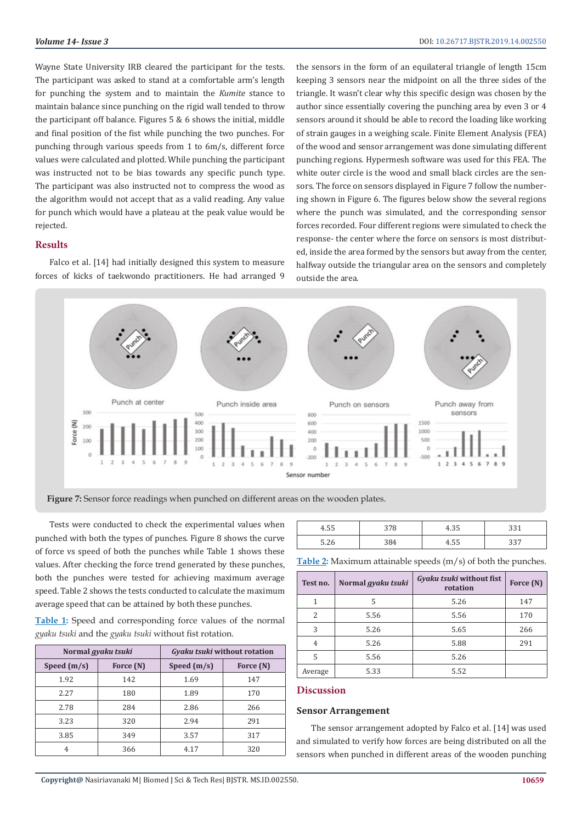Wayne State University IRB cleared the participant for the tests. The participant was asked to stand at a comfortable arm's length for punching the system and to maintain the *Kumite* stance to maintain balance since punching on the rigid wall tended to throw the participant off balance. Figures 5 & 6 shows the initial, middle and final position of the fist while punching the two punches. For punching through various speeds from 1 to 6m/s, different force values were calculated and plotted. While punching the participant was instructed not to be bias towards any specific punch type. The participant was also instructed not to compress the wood as the algorithm would not accept that as a valid reading. Any value for punch which would have a plateau at the peak value would be rejected.

#### **Results**

Falco et al. [14] had initially designed this system to measure forces of kicks of taekwondo practitioners. He had arranged 9 the sensors in the form of an equilateral triangle of length 15cm keeping 3 sensors near the midpoint on all the three sides of the triangle. It wasn't clear why this specific design was chosen by the author since essentially covering the punching area by even 3 or 4 sensors around it should be able to record the loading like working of strain gauges in a weighing scale. Finite Element Analysis (FEA) of the wood and sensor arrangement was done simulating different punching regions. Hypermesh software was used for this FEA. The white outer circle is the wood and small black circles are the sensors. The force on sensors displayed in Figure 7 follow the numbering shown in Figure 6. The figures below show the several regions where the punch was simulated, and the corresponding sensor forces recorded. Four different regions were simulated to check the response- the center where the force on sensors is most distributed, inside the area formed by the sensors but away from the center, halfway outside the triangular area on the sensors and completely outside the area.



**Figure 7:** Sensor force readings when punched on different areas on the wooden plates.

Tests were conducted to check the experimental values when punched with both the types of punches. Figure 8 shows the curve of force vs speed of both the punches while Table 1 shows these values. After checking the force trend generated by these punches, both the punches were tested for achieving maximum average speed. Table 2 shows the tests conducted to calculate the maximum average speed that can be attained by both these punches.

**Table 1:** Speed and corresponding force values of the normal *gyaku tsuki* and the *gyaku tsuki* without fist rotation.

| Normal <i>gyaku tsuki</i> |           | Gyaku tsuki without rotation |           |  |
|---------------------------|-----------|------------------------------|-----------|--|
| Speed $(m/s)$             | Force (N) | Speed $(m/s)$                | Force (N) |  |
| 1.92                      | 142       | 1.69                         | 147       |  |
| 2.27                      | 180       | 1.89                         | 170       |  |
| 2.78                      | 284       | 2.86                         | 266       |  |
| 3.23                      | 320       | 2.94                         | 291       |  |
| 3.85                      | 349       | 3.57                         | 317       |  |
| 4                         | 366       | 4.17                         | 320       |  |

| $- -$<br>ተ.JJ             | ັ   | ט טוד |           |
|---------------------------|-----|-------|-----------|
| $F \Omega$<br><b>J.LU</b> | 384 | ט טוד | ר ר<br>ັບ |

**Table 2:** Maximum attainable speeds (m/s) of both the punches.

| Test no. | Normal gyaku tsuki | Gyaku tsuki without fist<br>rotation | Force (N) |
|----------|--------------------|--------------------------------------|-----------|
| 1        | 5                  | 5.26                                 | 147       |
| 2        | 5.56               | 5.56                                 | 170       |
| 3        | 5.26               | 5.65                                 | 266       |
| 4        | 5.26               | 5.88                                 | 291       |
| 5        | 5.56               | 5.26                                 |           |
| Average  | 5.33               | 5.52                                 |           |

#### **Discussion**

#### **Sensor Arrangement**

The sensor arrangement adopted by Falco et al. [14] was used and simulated to verify how forces are being distributed on all the sensors when punched in different areas of the wooden punching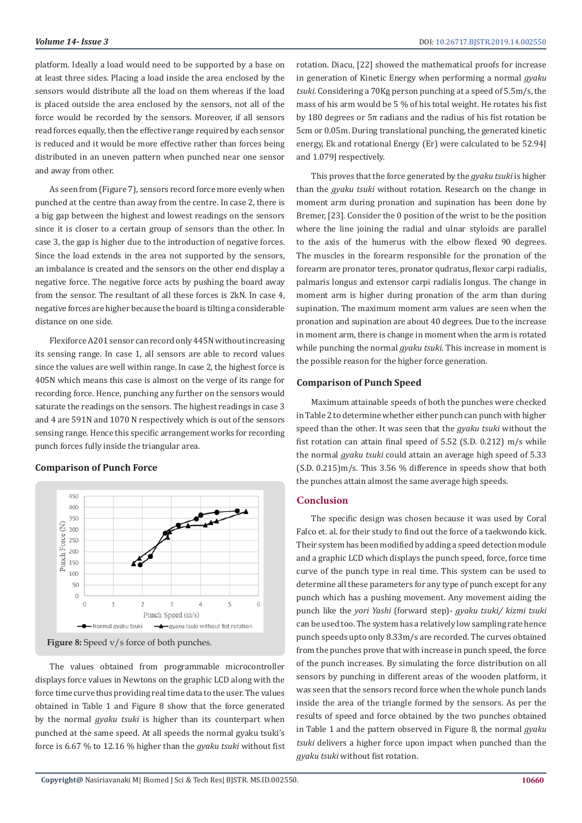platform. Ideally a load would need to be supported by a base on at least three sides. Placing a load inside the area enclosed by the sensors would distribute all the load on them whereas if the load is placed outside the area enclosed by the sensors, not all of the force would be recorded by the sensors. Moreover, if all sensors read forces equally, then the effective range required by each sensor is reduced and it would be more effective rather than forces being distributed in an uneven pattern when punched near one sensor and away from other.

As seen from (Figure 7), sensors record force more evenly when punched at the centre than away from the centre. In case 2, there is a big gap between the highest and lowest readings on the sensors since it is closer to a certain group of sensors than the other. In case 3, the gap is higher due to the introduction of negative forces. Since the load extends in the area not supported by the sensors, an imbalance is created and the sensors on the other end display a negative force. The negative force acts by pushing the board away from the sensor. The resultant of all these forces is 2kN. In case 4, negative forces are higher because the board is tilting a considerable distance on one side.

Flexiforce A201 sensor can record only 445N without increasing its sensing range. In case 1, all sensors are able to record values since the values are well within range. In case 2, the highest force is 405N which means this case is almost on the verge of its range for recording force. Hence, punching any further on the sensors would saturate the readings on the sensors. The highest readings in case 3 and 4 are 591N and 1070 N respectively which is out of the sensors sensing range. Hence this specific arrangement works for recording punch forces fully inside the triangular area.

#### **Comparison of Punch Force**



Figure 8: Speed v/s force of both punches.

The values obtained from programmable microcontroller displays force values in Newtons on the graphic LCD along with the force time curve thus providing real time data to the user. The values obtained in Table 1 and Figure 8 show that the force generated by the normal *gyaku tsuki* is higher than its counterpart when punched at the same speed. At all speeds the normal gyaku tsuki's force is 6.67 % to 12.16 % higher than the *gyaku tsuki* without fist rotation. Diacu, [22] showed the mathematical proofs for increase in generation of Kinetic Energy when performing a normal *gyaku tsuki*. Considering a 70Kg person punching at a speed of 5.5m/s, the mass of his arm would be 5 % of his total weight. He rotates his fist by 180 degrees or 5π radians and the radius of his fist rotation be 5cm or 0.05m. During translational punching, the generated kinetic energy, Ek and rotational Energy (Er) were calculated to be 52.94J and 1.079J respectively.

This proves that the force generated by the *gyaku tsuki* is higher than the *gyaku tsuki* without rotation. Research on the change in moment arm during pronation and supination has been done by Bremer, [23]. Consider the 0 position of the wrist to be the position where the line joining the radial and ulnar styloids are parallel to the axis of the humerus with the elbow flexed 90 degrees. The muscles in the forearm responsible for the pronation of the forearm are pronator teres, pronator qudratus, flexor carpi radialis, palmaris longus and extensor carpi radialis longus. The change in moment arm is higher during pronation of the arm than during supination. The maximum moment arm values are seen when the pronation and supination are about 40 degrees. Due to the increase in moment arm, there is change in moment when the arm is rotated while punching the normal *gyaku tsuki*. This increase in moment is the possible reason for the higher force generation.

#### **Comparison of Punch Speed**

Maximum attainable speeds of both the punches were checked in Table 2 to determine whether either punch can punch with higher speed than the other. It was seen that the *gyaku tsuki* without the fist rotation can attain final speed of 5.52 (S.D. 0.212) m/s while the normal *gyaku tsuki* could attain an average high speed of 5.33 (S.D. 0.215)m/s. This 3.56 % difference in speeds show that both the punches attain almost the same average high speeds.

#### **Conclusion**

The specific design was chosen because it was used by Coral Falco et. al. for their study to find out the force of a taekwondo kick. Their system has been modified by adding a speed detection module and a graphic LCD which displays the punch speed, force, force time curve of the punch type in real time. This system can be used to determine all these parameters for any type of punch except for any punch which has a pushing movement. Any movement aiding the punch like the *yori Yashi* (forward step)- *gyaku tsuki/ kizmi tsuki* can be used too. The system has a relatively low sampling rate hence punch speeds upto only 8.33m/s are recorded. The curves obtained from the punches prove that with increase in punch speed, the force of the punch increases. By simulating the force distribution on all sensors by punching in different areas of the wooden platform, it was seen that the sensors record force when the whole punch lands inside the area of the triangle formed by the sensors. As per the results of speed and force obtained by the two punches obtained in Table 1 and the pattern observed in Figure 8, the normal *gyaku tsuki* delivers a higher force upon impact when punched than the *gyaku tsuki* without fist rotation.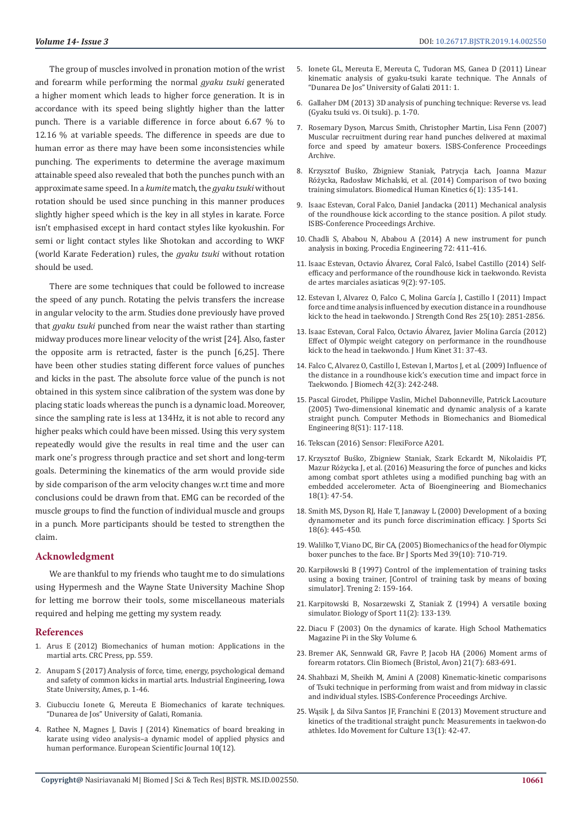The group of muscles involved in pronation motion of the wrist and forearm while performing the normal *gyaku tsuki* generated a higher moment which leads to higher force generation. It is in accordance with its speed being slightly higher than the latter punch. There is a variable difference in force about 6.67 % to 12.16 % at variable speeds. The difference in speeds are due to human error as there may have been some inconsistencies while punching. The experiments to determine the average maximum attainable speed also revealed that both the punches punch with an approximate same speed. In a *kumite* match, the *gyaku tsuki* without rotation should be used since punching in this manner produces slightly higher speed which is the key in all styles in karate. Force isn't emphasised except in hard contact styles like kyokushin. For semi or light contact styles like Shotokan and according to WKF (world Karate Federation) rules, the *gyaku tsuki* without rotation should be used.

There are some techniques that could be followed to increase the speed of any punch. Rotating the pelvis transfers the increase in angular velocity to the arm. Studies done previously have proved that *gyaku tsuki* punched from near the waist rather than starting midway produces more linear velocity of the wrist [24]. Also, faster the opposite arm is retracted, faster is the punch [6,25]. There have been other studies stating different force values of punches and kicks in the past. The absolute force value of the punch is not obtained in this system since calibration of the system was done by placing static loads whereas the punch is a dynamic load. Moreover, since the sampling rate is less at 134Hz, it is not able to record any higher peaks which could have been missed. Using this very system repeatedly would give the results in real time and the user can mark one's progress through practice and set short and long-term goals. Determining the kinematics of the arm would provide side by side comparison of the arm velocity changes w.r.t time and more conclusions could be drawn from that. EMG can be recorded of the muscle groups to find the function of individual muscle and groups in a punch. More participants should be tested to strengthen the claim.

#### **Acknowledgment**

We are thankful to my friends who taught me to do simulations using Hypermesh and the Wayne State University Machine Shop for letting me borrow their tools, some miscellaneous materials required and helping me getting my system ready.

#### **References**

- 1. Arus E (2012) Biomechanics of human motion: Applications in the martial arts. CRC Press, pp. 559.
- 2. Anupam S (2017) Analysis of force, time, energy, psychological demand and safety of common kicks in martial arts. Industrial Engineering, Iowa State University, Ames, p. 1-46.
- 3. Ciubucciu Ionete G, Mereuta E Biomechanics of karate techniques. "Dunarea de Jos" University of Galati, Romania.
- 4. Rathee N, Magnes J, Davis J (2014) Kinematics of board breaking in karate using video analysis–a dynamic model of applied physics and human performance. European Scientific Journal 10(12).
- 5. Ionete GL, Mereuta E, Mereuta C, Tudoran MS, Ganea D (2011) Linear kinematic analysis of gyaku-tsuki karate technique. The Annals of "Dunarea De Jos" University of Galati 2011: 1.
- 6. Gallaher DM (2013) 3D analysis of punching technique: Reverse vs. lead (Gyaku tsuki vs. Oi tsuki). p. 1-70.
- 7. Rosemary Dyson, Marcus Smith, Christopher Martin, Lisa Fenn (2007) Muscular recruitment during rear hand punches delivered at maximal force and speed by amateur boxers. ISBS-Conference Proceedings Archive.
- 8. Krzysztof Buśko, Zbigniew Staniak, Patrycja Łach, Joanna Mazur Różycka, Radosław Michalski, et al. (2014) Comparison of two boxing training simulators. Biomedical Human Kinetics 6(1): 135-141.
- 9. Isaac Estevan, Coral Falco, Daniel Jandacka (2011) Mechanical analysis of the roundhouse kick according to the stance position. A pilot study. ISBS-Conference Proceedings Archive.
- 10. Chadli S, Ababou N, Ababou A (2014) A new instrument for punch analysis in boxing. Procedia Engineering 72: 411-416.
- 11. Isaac Estevan, Octavio Álvarez, Coral Falcó, Isabel Castillo (2014) Selfefficacy and performance of the roundhouse kick in taekwondo. Revista de artes marciales asiaticas 9(2): 97-105.
- 12. Estevan I, Alvarez O, Falco C, Molina García J, Castillo I (2011) Impact force and time analysis influenced by execution distance in a roundhouse kick to the head in taekwondo. J Strength Cond Res 25(10): 2851-2856.
- 13. Isaac Estevan, Coral Falco, Octavio Álvarez, Javier Molina García (2012) Effect of Olympic weight category on performance in the roundhouse kick to the head in taekwondo. J Hum Kinet 31: 37-43.
- 14. Falco C, Alvarez O, Castillo I, Estevan I, Martos J, et al. (2009) Influence of the distance in a roundhouse kick's execution time and impact force in Taekwondo. J Biomech 42(3): 242-248.
- 15. Pascal Girodet, Philippe Vaslin, Michel Dabonneville, Patrick Lacouture (2005) Two-dimensional kinematic and dynamic analysis of a karate straight punch. Computer Methods in Biomechanics and Biomedical Engineering 8(S1): 117-118.
- 16. Tekscan (2016) Sensor: FlexiForce A201.
- 17. Krzysztof Buśko, Zbigniew Staniak, Szark Eckardt M, Nikolaidis PT, Mazur Różycka J, et al. (2016) Measuring the force of punches and kicks among combat sport athletes using a modified punching bag with an embedded accelerometer. Acta of Bioengineering and Biomechanics 18(1): 47-54.
- 18. Smith MS, Dyson RJ, Hale T, Janaway L (2000) Development of a boxing dynamometer and its punch force discrimination efficacy. J Sports Sci 18(6): 445-450.
- 19. Walilko T, Viano DC, Bir CA, (2005) Biomechanics of the head for Olympic boxer punches to the face. Br J Sports Med 39(10): 710-719.
- 20. Karpiłowski B (1997) Control of the implementation of training tasks using a boxing trainer, [Control of training task by means of boxing simulator]. Trening 2: 159-164.
- 21. Karpitowski B, Nosarzewski Z, Staniak Z (1994) A versatile boxing simulator. Biology of Sport 11(2): 133-139.
- 22. Diacu F (2003) On the dynamics of karate. High School Mathematics Magazine Pi in the Sky Volume 6.
- 23. Bremer AK, Sennwald GR, Favre P, Jacob HA (2006) Moment arms of forearm rotators. Clin Biomech (Bristol, Avon) 21(7): 683-691.
- 24. Shahbazi M, Sheikh M, Amini A (2008) Kinematic-kinetic comparisons of Tsuki technique in performing from waist and from midway in classic and individual styles. ISBS-Conference Proceedings Archive.
- 25. Wąsik J, da Silva Santos JF, Franchini E (2013) Movement structure and kinetics of the traditional straight punch: Measurements in taekwon-do athletes. Ido Movement for Culture 13(1): 42-47.